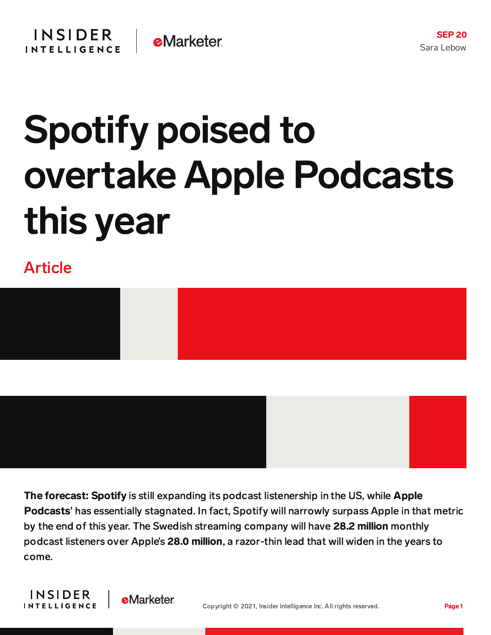## Spotify poised to overtake Apple Podcasts this year

## Article





The forecast: Spotify is still expanding its podcast listenership in the US, while Apple Podcasts' has essentially stagnated. In fact, Spotify will narrowly surpass Apple in that metric by the end of this year. The Swedish streaming company will have 28.2 million monthly podcast listeners over Apple's 28.0 million, a razor-thin lead that will widen in the years to come.



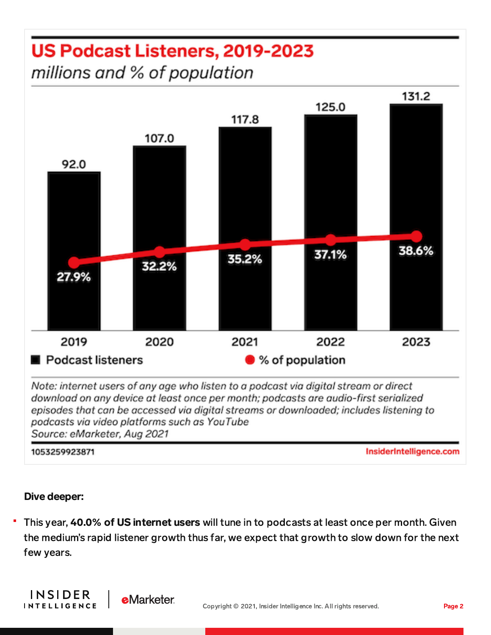## US Podcast Listeners, 2019-2023 millions and % of population



Note: internet users of any age who listen to a podcast via digital stream or direct download on any device at least once per month; podcasts are audio-first serialized episodes that can be accessed via digital streams or downloaded; includes listening to podcasts via video platforms such as YouTube Source: eMarketer, Aug 2021

1053259923871

InsiderIntelligence.com

## Dive deeper:

This year, 40.0% of US internet users will tune in to podcasts at least once per month. Given the medium's rapid listener growth thus far, we expect that growth to slow down for the next few years.